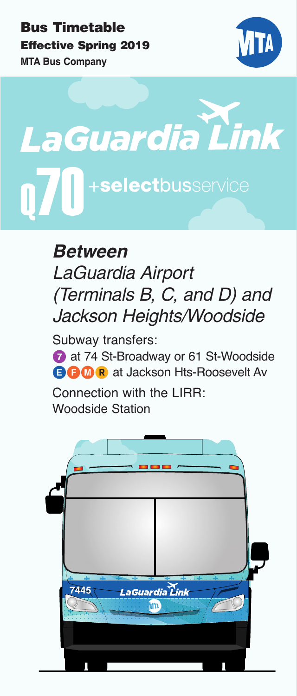# **Bus Timetable Effective Spring 2019 MTA Bus Company**



**LaGuardia Link** +selectbusservice

> **Between**  *LaGuardia Airport (Terminals B, C, and D) and Jackson Heights/Woodside*

> Subway transfers: **7** at 74 St-Broadway or 61 St-Woodside **BBM R** at Jackson Hts-Roosevelt Av

Connection with the LIRR: Woodside Station

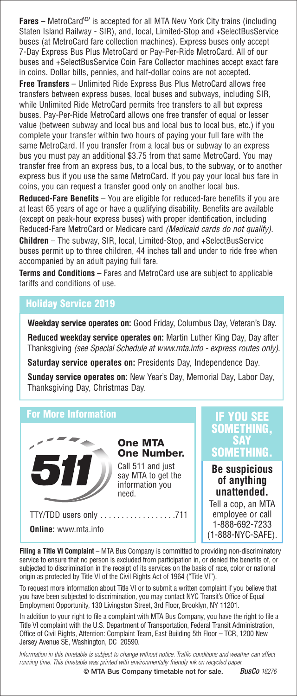**Fares** – MetroCard® is accepted for all MTA New York City trains (including Staten Island Railway - SIR), and, local, Limited-Stop and +SelectBusService buses (at MetroCard fare collection machines). Express buses only accept 7-Day Express Bus Plus MetroCard or Pay-Per-Ride MetroCard. All of our buses and +SelectBusService Coin Fare Collector machines accept exact fare in coins. Dollar bills, pennies, and half-dollar coins are not accepted.

**Free Transfers** – Unlimited Ride Express Bus Plus MetroCard allows free transfers between express buses, local buses and subways, including SIR, while Unlimited Ride MetroCard permits free transfers to all but express buses. Pay-Per-Ride MetroCard allows one free transfer of equal or lesser value (between subway and local bus and local bus to local bus, etc.) if you complete your transfer within two hours of paying your full fare with the same MetroCard. If you transfer from a local bus or subway to an express bus you must pay an additional \$3.75 from that same MetroCard. You may transfer free from an express bus, to a local bus, to the subway, or to another express bus if you use the same MetroCard. If you pay your local bus fare in coins, you can request a transfer good only on another local bus.

**Reduced-Fare Benefits** – You are eligible for reduced-fare benefits if you are at least 65 years of age or have a qualifying disability. Benefits are available (except on peak-hour express buses) with proper identification, including Reduced-Fare MetroCard or Medicare card (Medicaid cards do not qualify).

**Children** – The subway, SIR, local, Limited-Stop, and +SelectBusService buses permit up to three children, 44 inches tall and under to ride free when accompanied by an adult paying full fare.

**Terms and Conditions** – Fares and MetroCard use are subject to applicable tariffs and conditions of use.

### **Holiday Service 2019**

**Weekday service operates on:** Good Friday, Columbus Day, Veteran's Day.

**Reduced weekday service operates on:** Martin Luther King Day, Day after Thanksgiving (see Special Schedule at www.mta.info - express routes only).

**Saturday service operates on:** Presidents Day, Independence Day.

**Sunday service operates on:** New Year's Day, Memorial Day, Labor Day, Thanksgiving Day, Christmas Day.

### **For More Information**



**One MTA One Number.**

Call 511 and just say MTA to get the information you need.

TTY/TDD users only . . . . . . . . . . . . . . . . . .711 **Online:** www.mta.info

### **IF YOU SEE SOMETHING, SAY SOMETHING.**

### **Be suspicious of anything unattended.**

Tell a cop, an MTA employee or call 1-888-692-7233 (1-888-NYC-SAFE).

**Filing a Title VI Complaint** – MTA Bus Company is committed to providing non-discriminatory service to ensure that no person is excluded from participation in, or denied the benefits of, or subjected to discrimination in the receipt of its services on the basis of race, color or national origin as protected by Title VI of the Civil Rights Act of 1964 ("Title VI").

To request more information about Title VI or to submit a written complaint if you believe that you have been subjected to discrimination, you may contact NYC Transit's Office of Equal Employment Opportunity, 130 Livingston Street, 3rd Floor, Brooklyn, NY 11201.

In addition to your right to file a complaint with MTA Bus Company, you have the right to file a Title VI complaint with the U.S. Department of Transportation, Federal Transit Administration, Office of Civil Rights, Attention: Complaint Team, East Building 5th Floor – TCR, 1200 New Jersey Avenue SE, Washington, DC 20590.

*Information in this timetable is subject to change without notice. Traffic conditions and weather can affect running time. This timetable was printed with environmentally friendly ink on recycled paper.*

**© MTA Bus Company timetable not for sale.** *BusCo <sup>18276</sup>*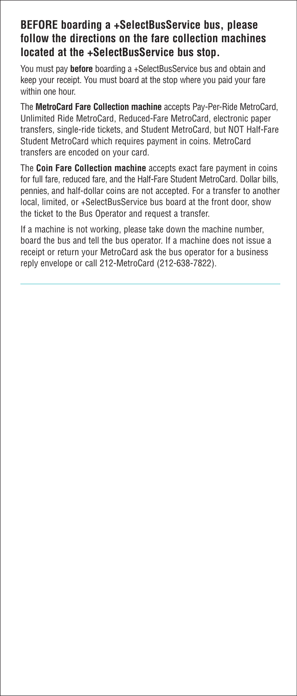## **BEFORE boarding a +SelectBusService bus, please follow the directions on the fare collection machines located at the +SelectBusService bus stop.**

You must pay **before** boarding a +SelectBusService bus and obtain and keep your receipt. You must board at the stop where you paid your fare within one hour.

The **MetroCard Fare Collection machine** accepts Pay-Per-Ride MetroCard, Unlimited Ride MetroCard, Reduced-Fare MetroCard, electronic paper transfers, single-ride tickets, and Student MetroCard, but NOT Half-Fare Student MetroCard which requires payment in coins. MetroCard transfers are encoded on your card.

The **Coin Fare Collection machine** accepts exact fare payment in coins for full fare, reduced fare, and the Half-Fare Student MetroCard. Dollar bills, pennies, and half-dollar coins are not accepted. For a transfer to another local, limited, or +SelectBusService bus board at the front door, show the ticket to the Bus Operator and request a transfer.

If a machine is not working, please take down the machine number, board the bus and tell the bus operator. If a machine does not issue a receipt or return your MetroCard ask the bus operator for a business reply envelope or call 212-MetroCard (212-638-7822).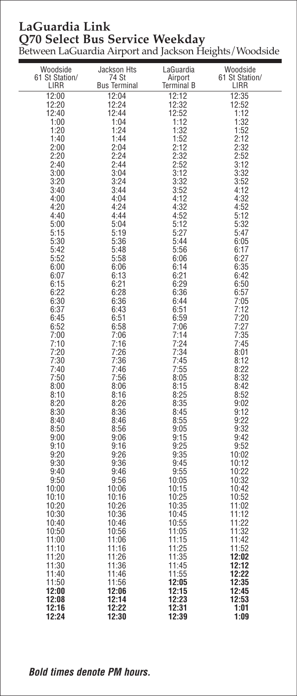# **LaGuardia Link Q70 Select Bus Service Weekday**

Between LaGuardia Airport and Jackson Heights/Woodside

| Woodside<br>61 St Station/<br>LIRR | Jackson Hts<br>74 St<br><b>Bus Terminal</b> | LaGuardia<br>Airport<br>Terminal B | Woodside<br>61 St Station/<br>LIRR |
|------------------------------------|---------------------------------------------|------------------------------------|------------------------------------|
| 12:00                              | 12:04                                       | 12:12                              | 12:35                              |
| 12:20                              | 12:24                                       | 12:32                              | 12:52                              |
| 12:40                              | 12:44                                       | 12:52                              | 1:12                               |
| 1:00<br>1:20                       | 1:04<br>1:24                                | 1:12<br>1:32                       | 1:32<br>1:52                       |
| 1:40                               | 1:44                                        | 1:52                               | 2:12                               |
| 2:00                               | 2:04                                        | 2:12                               | 2:32                               |
| 2:20<br>2:40                       | 2:24<br>2:44                                | 2:32<br>2:52                       | 2:52<br>3:12                       |
| 3:00                               | 3:04                                        | 3:12                               | 3:32                               |
| 3:20                               | 3:24                                        | 3:32                               | 3:52                               |
| 3:40<br>4:00                       | 3:44<br>4:04                                | 3:52<br>4:12                       | 4:12<br>4:32                       |
| 4:20                               | 4:24                                        | 4:32                               | 4:52                               |
| 4:40                               | 4:44                                        | 4:52                               | 5:12                               |
| 5:00                               | 5:04                                        | 5:12                               | 5:32                               |
| 5:15<br>5:30                       | 5:19<br>5:36                                | 5:27<br>5:44                       | 5:47<br>6:05                       |
| 5:42                               | 5:48                                        | 5:56                               | 6:17                               |
| 5:52                               | 5:58                                        | 6:06                               | 6:27                               |
| 6:00<br>6:07                       | 6:06<br>6:13                                | 6:14<br>6:21                       | 6:35<br>6:42                       |
| 6:15                               | 6:21                                        | 6:29                               | 6:50                               |
| 6:22                               | 6:28                                        | 6:36                               | 6:57                               |
| 6:30<br>6:37                       | 6:36<br>6:43                                | 6:44<br>6:51                       | 7:05<br>7:12                       |
| 6:45                               | 6:51                                        | 6:59                               | 7:20                               |
| 6:52                               | 6:58                                        | 7:06                               | 7:27                               |
| 7:00<br>7:10                       | 7:06<br>7:16                                | 7:14<br>7:24                       | 7:35<br>7:45                       |
| 7:20                               | 7:26                                        | 7:34                               | 8:01                               |
| 7:30                               | 7:36                                        | 7:45                               | 8:12                               |
| 7:40<br>7:50                       | 7:46                                        | 7:55<br>8:05                       | 8:22<br>8:32                       |
| 8:00                               | 7:56<br>8:06                                | 8:15                               | 8:42                               |
| 8:10                               | 8:16                                        | 8:25                               | 8:52                               |
| 8:20                               | 8:26                                        | 8:35                               | 9:02                               |
| 8:30<br>8:40                       | 8:36<br>8:46                                | 8:45<br>8:55                       | 9:12<br>9:22                       |
| 8:50                               | 8:56                                        | 9:05                               | 9:32                               |
| 9:00                               | 9:06                                        | 9:15                               | 9:42                               |
| 9:10<br>9:20                       | 9:16<br>9:26                                | 9:25<br>9:35                       | 9:52<br>10:02                      |
| 9:30                               | 9:36                                        | 9:45                               | 10:12                              |
| 9:40                               | 9:46                                        | 9:55                               | 10:22                              |
| 9:50<br>10:00                      | 9:56<br>10:06                               | 10:05<br>10:15                     | 10:32<br>10:42                     |
| 10:10                              | 10:16                                       | 10:25                              | 10:52                              |
| 10:20                              | 10:26                                       | 10:35                              | 11:02                              |
| 10:30<br>10:40                     | 10:36<br>10:46                              | 10:45<br>10:55                     | 11:12<br>11:22                     |
| 10:50                              | 10:56                                       | 11:05                              | 11:32                              |
| 11:00                              | 11:06                                       | 11:15                              | 11:42                              |
| 11:10<br>11:20                     | 11:16<br>11:26                              | 11:25<br>11:35                     | 11:52<br>12:02                     |
| 11:30                              | 11:36                                       | 11:45                              | 12:12                              |
| 11:40                              | 11:46                                       | 11:55                              | 12:22                              |
| 11:50                              | 11:56                                       | 12:05                              | 12:35                              |
| 12:00<br>12:08                     | 12:06<br>12:14                              | 12:15<br>12:23                     | 12:45<br>12:53                     |
| 12:16                              | 12:22                                       | 12:31                              | 1:01                               |
| 12:24                              | 12:30                                       | 12:39                              | 1:09                               |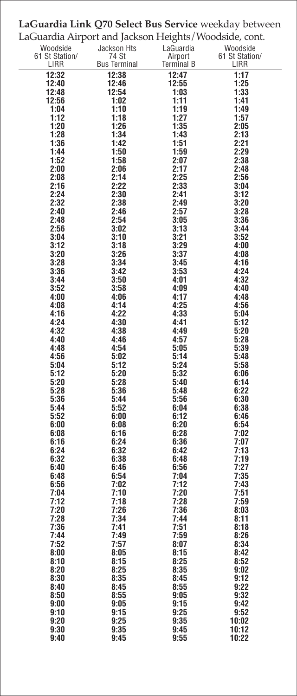| LaGuardia Airport and Jackson Heights/Woodside, cont. |                     |                |                        |  |  |
|-------------------------------------------------------|---------------------|----------------|------------------------|--|--|
| Woodside                                              | Jackson Hts         | LaGuardia      | Woodside               |  |  |
| 61 St Station/                                        | 74 St               | Airport        | 61 St Station/<br>LIRR |  |  |
| LIRR                                                  | <b>Bus Terminal</b> | Terminal B     |                        |  |  |
| 12:32<br>12:40                                        | 12:38<br>12:46      | 12:47<br>12:55 | 1:17<br>1:25           |  |  |
| 12:48                                                 | 12:54               | 1:03           | 1:33                   |  |  |
| 12:56                                                 | 1:02                | 1:11           | 1:41                   |  |  |
| 1:04                                                  | 1:10                | 1:19           | 1:49                   |  |  |
| 1:12                                                  | 1:18                | 1:27           | 1:57                   |  |  |
| 1:20<br>1:28                                          | 1:26<br>1:34        | 1:35<br>1:43   | 2:05<br>2:13           |  |  |
| 1:36                                                  | 1:42                | 1:51           | 2:21                   |  |  |
| 1:44                                                  | 1:50                | 1:59           | 2:29                   |  |  |
| 1:52                                                  | 1:58                | 2:07           | 2:38                   |  |  |
| 2:00                                                  | 2:06                | 2:17           | 2:48                   |  |  |
| 2:08                                                  | 2:14                | 2:25           | 2:56                   |  |  |
| 2:16<br>2:24                                          | 2:22<br>2:30        | 2:33<br>2:41   | 3:04<br>3:12           |  |  |
| 2:32                                                  | 2:38                | 2:49           | 3:20                   |  |  |
| 2:40                                                  | 2:46                | 2:57           | 3:28                   |  |  |
| 2:48                                                  | 2:54                | 3:05           | 3:36                   |  |  |
| 2:56                                                  | 3:02                | 3:13           | 3:44                   |  |  |
| 3:04<br>3:12                                          | 3:10<br>3:18        | 3:21<br>3:29   | 3:52<br>4:00           |  |  |
| 3:20                                                  | 3:26                | 3:37           | 4:08                   |  |  |
| 3:28                                                  | 3:34                | 3:45           | 4:16                   |  |  |
| 3:36                                                  | 3:42                | 3:53           | 4:24                   |  |  |
| 3:44                                                  | 3:50                | 4:01           | 4:32                   |  |  |
| 3:52<br>4:00                                          | 3:58<br>4:06        | 4:09<br>4:17   | 4:40<br>4:48           |  |  |
| 4:08                                                  | 4:14                | 4:25           | 4:56                   |  |  |
| 4:16                                                  | 4:22                | 4:33           | 5:04                   |  |  |
| 4:24                                                  | 4:30                | 4:41           | 5:12                   |  |  |
| 4:32                                                  | 4:38                | 4:49           | 5:20                   |  |  |
| 4:40<br>4:48                                          | 4:46<br>4:54        | 4:57<br>5:05   | 5:28<br>5:39           |  |  |
| 4:56                                                  | 5:02                | 5:14           | 5:48                   |  |  |
| 5:04                                                  | 5:12                | 5:24           | 5:58                   |  |  |
| 5:12                                                  | 5:20                | 5:32           | 6:06                   |  |  |
| 5:20<br>5:28                                          | 5:28<br>5:36        | 5:40<br>5:48   | 6:14<br>6:22           |  |  |
| 5:36                                                  | 5:44                | 5:56           | 6:30                   |  |  |
| 5:44                                                  | 5:52                | 6:04           | 6:38                   |  |  |
| 5:52                                                  | 6:00                | 6:12           | 6:46                   |  |  |
| 6:00                                                  | 6:08                | 6:20           | 6:54                   |  |  |
| 6:08<br>6:16                                          | 6:16<br>6:24        | 6:28<br>6:36   | 7:02<br>7:07           |  |  |
| 6:24                                                  | 6:32                | 6:42           | 7:13                   |  |  |
| 6:32                                                  | 6:38                | 6:48           | 7:19                   |  |  |
| 6:40                                                  | 6:46                | 6:56           | 7:27                   |  |  |
| 6:48<br>6:56                                          | 6:54<br>7:02        | 7:04<br>7:12   | 7:35<br>7:43           |  |  |
| 7:04                                                  | 7:10                | 7:20           | 7:51                   |  |  |
| 7:12                                                  | 7:18                | 7:28           | 7:59                   |  |  |
| 7:20                                                  | 7:26                | 7:36           | 8:03                   |  |  |
| 7:28                                                  | 7:34                | 7:44           | 8:11                   |  |  |
| 7:36<br>7:44                                          | 7:41<br>7:49        | 7:51<br>7:59   | 8:18<br>8:26           |  |  |
| 7:5Z                                                  | 7:57                | 8:U/           | 8:34                   |  |  |
| 8:00                                                  | 8:05                | 8:15           | 8:42                   |  |  |
| 8:10                                                  | 8:15                | 8:25           | 8:52                   |  |  |
| 8:20<br>8:30                                          | 8:25<br>8:35        | 8:35<br>8:45   | 9:02<br>9:12           |  |  |
| 8:40                                                  | 8:45                | 8:55           | 9:22                   |  |  |
| 8:50                                                  | 8:55                | 9:05           | 9:32                   |  |  |
| 9:00                                                  | 9:05                | 9:15           | 9:42                   |  |  |
| 9:10                                                  | 9:15                | 9:25           | 9:52                   |  |  |
| 9:20<br>9:30                                          | 9:25<br>9:35        | 9:35<br>9:45   | 10:02<br>10:12         |  |  |
| 9:40                                                  | 9:45                | 9:55           | 10:22                  |  |  |
|                                                       |                     |                |                        |  |  |

# **LaGuardia Link Q70 Select Bus Service** weekday between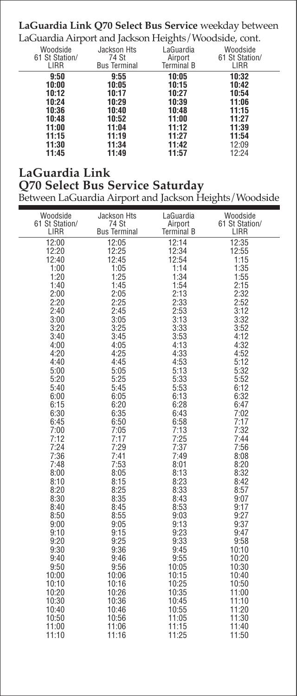## **LaGuardia Link Q70 Select Bus Service** weekday between

LaGuardia Airport and Jackson Heights/Woodside, cont.

| Woodside<br>61 St Station/<br>LIRR | Jackson Hts<br>74 St<br><b>Bus Terminal</b> | LaGuardia<br>Airport<br><b>Terminal B</b> | Woodside<br>61 St Station/<br>LIRR |  |
|------------------------------------|---------------------------------------------|-------------------------------------------|------------------------------------|--|
| 9:50<br>10:00<br>10:12<br>10:24    | 9:55<br>10:05<br>10:17<br>10:29             | 10:05<br>10:15<br>10:27<br>10:39          | 10:32<br>10:42<br>10:54<br>11:06   |  |
| 10:36<br>10:48<br>11:00            | 10:40<br>10:52<br>11:04                     | 10:48<br>11:00<br>11:12                   | 11:15<br>11:27<br>11:39            |  |
| 11:15<br>11:30<br>11:45            | 11:19<br>11:34<br>11:49                     | 11:27<br>11:42<br>11:57                   | 11:54<br>12:09<br>12:24            |  |

## **LaGuardia Link Q70 Select Bus Service Saturday**

### Between LaGuardia Airport and Jackson Heights/Woodside

| Woodside       | Jackson Hts         | LaGuardia         | Woodside       |
|----------------|---------------------|-------------------|----------------|
| 61 St Station/ | 74 St               | Airport           | 61 St Station/ |
| LIRR           | <b>Bus Terminal</b> | <b>Terminal B</b> | LIRR           |
| 12:00          | 12:05               | 12:14             | 12:35          |
| 12:20          | 12:25               | 12:34             | 12:55          |
| 12:40          | 12:45               | 12:54             | 1:15           |
| 1:00           | 1:05                | 1:14              | 1:35           |
| 1:20           | 1:25                | 1:34              | 1:55           |
| 1:40           | 1:45                | 1:54              | 2:15           |
| 2:00           | 2:05                | 2:13              | 2:32           |
| 2:20           | 2:25                | 2:33              | 2:52           |
| 2:40           | 2:45                | 2:53              | 3:12           |
| 3:00           | 3:05                | 3:13              | 3:32           |
| 3:20           | 3:25                | 3:33              | 3:52           |
| 3:40           | 3:45                | 3:53              | 4:12           |
| 4:00           | 4:05                | 4:13              | 4:32           |
| 4:20           | 4:25                | 4:33              | 4:52           |
| 4:40           | 4:45                | 4:53              | 5:12           |
| 5:00           | 5:05                | 5:13              | 5:32           |
| 5:20           | 5:25                | 5:33              | 5:52           |
| 5:40           | 5:45                | 5:53              | 6:12           |
| 6:00           | 6:05                | 6:13              | 6:32           |
| 6:15           | 6:20                | 6:28              | 6:47           |
| 6:30           | 6:35                | 6:43              | 7:02           |
| 6:45           | 6:50                | 6:58              | 7:17           |
| 7:00           | 7:05                | 7:13              | 7:32           |
| 7:12           | 7:17                | 7:25              | 7:44           |
| 7:24           | 7:29                | 7:37              | 7:56           |
| 7:36           | 7:41                | 7:49              | 8:08           |
| 7:48           | 7:53                | 8:01              | 8:20           |
| 8:00           | 8:05                | 8:13              | 8:32           |
| 8:10           | 8:15                | 8:23              | 8:42           |
| 8:20           | 8:25                | 8:33              | 8:57           |
| 8:30           | 8:35                | 8:43              | 9:07           |
| 8:40           | 8:45                | 8:53              | 9:17           |
| 8:50           | 8:55                | 9:03              | 9:27           |
| 9:00           | 9:05                | 9:13              | 9:37           |
| 9:10           | 9:15                | 9:23              | 9:47           |
| 9:20           | 9:25                | 9:33              | 9:58           |
| 9:30           | 9:36                | 9:45              | 10:10          |
| 9:40           | 9:46                | 9:55              | 10:20          |
| 9:50           | 9:56                | 10:05             | 10:30          |
| 10:00          | 10:06               | 10:15             | 10:40          |
| 10:10          | 10:16               | 10:25             | 10:50          |
| 10:20          | 10:26               | 10:35             | 11:00          |
| 10:30          | 10:36               | 10:45             | 11:10          |
| 10:40          | 10:46               | 10:55             | 11:20          |
| 10:50          | 10:56               | 11:05             | 11:30          |
| 11:00          | 11:06               | 11:15             | 11:40          |
| 11:10          | 11:16               | 11:25             | 11:50          |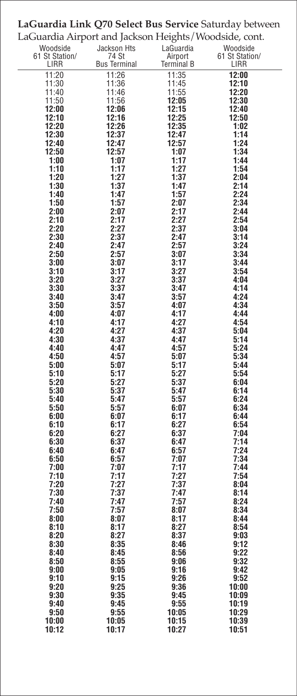| LaGuardia Airport and Jackson Heights/Woodside, cont. |                              |                              |                        |  |  |
|-------------------------------------------------------|------------------------------|------------------------------|------------------------|--|--|
| Woodside                                              | Jackson Hts                  | LaGuardia                    | Woodside               |  |  |
| 61 St Station/<br>LIRR                                | 74 St<br><b>Bus Terminal</b> | Airport<br><b>Terminal B</b> | 61 St Station/<br>LIRR |  |  |
| 11:20                                                 | 11:26                        | 11:35                        | 12:00                  |  |  |
| 11:30                                                 | 11:36                        | 11:45                        | 12:10                  |  |  |
| 11:40                                                 | 11:46                        | 11:55                        | 12:20                  |  |  |
| 11:50                                                 | 11:56                        | 12:05                        | 12:30                  |  |  |
| 12:00                                                 | 12:06                        | 12:15                        | 12:40                  |  |  |
| 12:10                                                 | 12:16                        | 12:25                        | 12:50                  |  |  |
| 12:20<br>12:30                                        | 12:26<br>12:37               | 12:35<br>12:47               | 1:02<br>1:14           |  |  |
| 12:40                                                 | 12:47                        | 12:57                        | 1:24                   |  |  |
| 12:50                                                 | 12:57                        | 1:07                         | 1:34                   |  |  |
| 1:00                                                  | 1:07                         | 1:17                         | 1:44                   |  |  |
| 1:10                                                  | 1:17                         | 1:27                         | 1:54                   |  |  |
| 1:20<br>1:30                                          | 1:27                         | 1:37                         | 2:04                   |  |  |
| 1:40                                                  | 1:37<br>1:47                 | 1:47<br>1:57                 | 2:14<br>2:24           |  |  |
| 1:50                                                  | 1:57                         | 2:07                         | 2:34                   |  |  |
| 2:00                                                  | 2:07                         | 2:17                         | 2:44                   |  |  |
| 2:10                                                  | 2:17                         | 2:27                         | 2:54                   |  |  |
| 2:20                                                  | 2:27                         | 2:37                         | 3:04                   |  |  |
| 2:30                                                  | 2:37<br>2:47                 | 2:47<br>2:57                 | 3:14<br>3:24           |  |  |
| 2:40<br>2:50                                          | 2:57                         | 3:07                         | 3:34                   |  |  |
| 3:00                                                  | 3:07                         | 3:17                         | 3:44                   |  |  |
| 3:10                                                  | 3:17                         | 3:27                         | 3:54                   |  |  |
| 3:20                                                  | 3:27                         | 3:37                         | 4:04                   |  |  |
| 3:30                                                  | 3:37                         | 3:47                         | 4:14                   |  |  |
| 3:40<br>3:50                                          | 3:47<br>3:57                 | 3:57<br>4:07                 | 4:24<br>4:34           |  |  |
| 4:00                                                  | 4:07                         | 4:17                         | 4:44                   |  |  |
| 4:10                                                  | 4:17                         | 4:27                         | 4:54                   |  |  |
| 4:20                                                  | 4:27                         | 4:37                         | 5:04                   |  |  |
| 4:30                                                  | 4:37                         | 4:47                         | 5:14                   |  |  |
| 4:40                                                  | 4:47                         | 4:57                         | 5:24                   |  |  |
| 4:50<br>5:00                                          | 4:57<br>5:07                 | 5:07<br>5:17                 | 5:34<br>5:44           |  |  |
| 5:10                                                  | 5:17                         | 5:27                         | 5:54                   |  |  |
| 5:20                                                  | 5:27                         | 5:37                         | 6:04                   |  |  |
| 5:30                                                  | 5:37                         | 5:47                         | 6:14                   |  |  |
| 5:40                                                  | 5:47                         | 5:57                         | 6:24                   |  |  |
| 5:50                                                  | 5:57                         | 6:07                         | 6:34                   |  |  |
| 6:00<br>6:10                                          | 6:07<br>6:17                 | 6:17<br>6:27                 | 6:44<br>6:54           |  |  |
| 6:20                                                  | 6:27                         | 6:37                         | 7:04                   |  |  |
| 6:30                                                  | 6:37                         | 6:47                         | 7:14                   |  |  |
| 6:40                                                  | 6:47                         | 6:57                         | 7:24                   |  |  |
| 6:50                                                  | 6:57                         | 7:07                         | 7:34                   |  |  |
| 7:00                                                  | 7:07                         | 7:17                         | 7:44                   |  |  |
| 7:10<br>7:20                                          | 7:17<br>7:27                 | 7:27<br>7:37                 | 7:54<br>8:04           |  |  |
| 7:30                                                  | 7:37                         | 7:47                         | 8:14                   |  |  |
| 7:40                                                  | 7:47                         | 7:57                         | 8:24                   |  |  |
| 7:50                                                  | 7:57                         | 8:07                         | 8:34                   |  |  |
| 8:00                                                  | 8:07                         | 8:17                         | 8:44                   |  |  |
| 8:10                                                  | 8:17                         | 8:27<br>8:37                 | 8:54<br>9:03           |  |  |
| 8:20<br>8:30                                          | 8:27<br>8:35                 | 8:46                         | 9:12                   |  |  |
| 8:40                                                  | 8:45                         | 8:56                         | 9:22                   |  |  |
| 8:50                                                  | 8:55                         | 9:06                         | 9:32                   |  |  |
| 9:00                                                  | 9:05                         | 9:16                         | 9:42                   |  |  |
| 9:10                                                  | 9:15                         | 9:26                         | 9:52                   |  |  |
| 9:20<br>9:30                                          | 9:25<br>9:35                 | 9:36<br>9:45                 | 10:00<br>10:09         |  |  |
| 9:40                                                  | 9:45                         | 9:55                         | 10:19                  |  |  |
| 9:50                                                  | 9:55                         | 10:05                        | 10:29                  |  |  |
| 10:00                                                 | 10:05                        | 10:15                        | 10:39                  |  |  |
| 10:12                                                 | 10:17                        | 10:27                        | 10:51                  |  |  |

# **LaGuardia Link Q70 Select Bus Service** Saturday between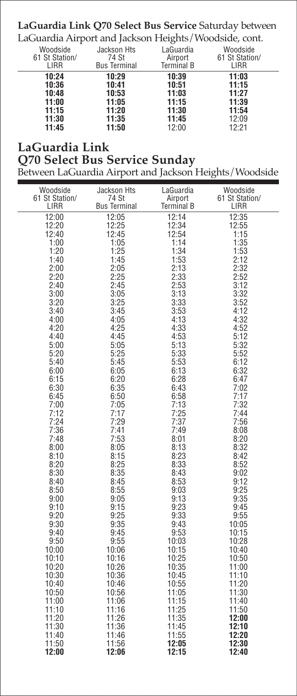## **LaGuardia Link Q70 Select Bus Service** Saturday between

LaGuardia Airport and Jackson Heights/Woodside, cont.

| Woodside<br>61 St Station/<br>LIRR                          | Jackson Hts<br>74 St<br><b>Bus Terminal</b>                 | LaGuardia<br>Airport<br><b>Terminal B</b>                   | Woodside<br>61 St Station/<br>LIRR                          |  |
|-------------------------------------------------------------|-------------------------------------------------------------|-------------------------------------------------------------|-------------------------------------------------------------|--|
| 10:24<br>10:36<br>10:48<br>11:00<br>11:15<br>11:30<br>11:45 | 10:29<br>10:41<br>10:53<br>11:05<br>11:20<br>11:35<br>11:50 | 10:39<br>10:51<br>11:03<br>11:15<br>11:30<br>11:45<br>12:00 | 11:03<br>11:15<br>11:27<br>11:39<br>11:54<br>12:09<br>12:21 |  |

## **LaGuardia Link**

### **Q70 Select Bus Service Sunday**

Between LaGuardia Airport and Jackson Heights/Woodside

| 12:00<br>12:05<br>12:14<br>12:35<br>12:20<br>12:25<br>12:34<br>12:55<br>12:40<br>12:45<br>12:54<br>1:15<br>1:14<br>1:35<br>1:00<br>1:05<br>1:25<br>1:34<br>1:20<br>1:53<br>1:45<br>1:53<br>2:12<br>1:40<br>2:13<br>2:32<br>2:00<br>2:05<br>2:20<br>2:25<br>2:33<br>2:52<br>2:45<br>2:53<br>3:12<br>2:40<br>3:05<br>3:13<br>3:32<br>3:00<br>3:20<br>3:25<br>3:33<br>3:52<br>3:40<br>3:45<br>3:53<br>4:12<br>4:13<br>4:00<br>4:05<br>4:32<br>4:20<br>4:25<br>4:33<br>4:52<br>4:53<br>4:40<br>4:45<br>5:12<br>5:05<br>5:13<br>5:32<br>5:00<br>5:20<br>5:25<br>5:33<br>5:52<br>5:45<br>5:53<br>6:12<br>5:40<br>6:00<br>6:05<br>6:13<br>6:32<br>6:20<br>6:28<br>6:15<br>6:47<br>6:30<br>6:35<br>6:43<br>7:02<br>6:45<br>6:50<br>6:58<br>7:17<br>7:13<br>7:00<br>7:05<br>7:32<br>7:17<br>7:12<br>7:25<br>7:44<br>7:24<br>7:29<br>7:37<br>7:56<br>7:36<br>7:41<br>7:49<br>8:08<br>7:53<br>7:48<br>8:01<br>8:20<br>8:05<br>8:13<br>8:00<br>8:32<br>8:10<br>8:15<br>8:23<br>8:42<br>8:33<br>8:20<br>8:25<br>8:52<br>8:30<br>8:35<br>8:43<br>9:02<br>8:53<br>8:40<br>8:45<br>9:12<br>8:50<br>8:55<br>9:03<br>9:25<br>9:05<br>9:13<br>9:35<br>9:00<br>9:15<br>9:23<br>9:10<br>9:45<br>9:20<br>9:25<br>9:33<br>9:55<br>9:30<br>9:35<br>9:43<br>10:05<br>9:53<br>9:40<br>9:45<br>10:15<br>9:55<br>9:50<br>10:03<br>10:28<br>10:15<br>10:00<br>10:06<br>10:40<br>10:25<br>10:10<br>10:16<br>10:50<br>10:20<br>10:26<br>10:35<br>11:00<br>10:30<br>10:36<br>10:45<br>11:10<br>10:40<br>10:46<br>10:55<br>11:20<br>10:50<br>10:56<br>11:05<br>11:30<br>11:00<br>11:06<br>11:15<br>11:40<br>11:10<br>11:16<br>11:25<br>11:50<br>11:20<br>11:26<br>11:35<br>12:00<br>11:30<br>11:36<br>12:10<br>11:45<br>11:46<br>11:55<br>12:20<br>11:40<br>11:50<br>11:56<br>12:05<br>12:30<br>12:00<br>12:06<br>12:15<br>12:40 | Woodside<br>61 St Station/<br>LIRR | Jackson Hts<br>74 St<br><b>Bus Terminal</b> | LaGuardia<br>Airport<br>Terminal B | Woodside<br>61 St Station/<br>LIRR |
|-------------------------------------------------------------------------------------------------------------------------------------------------------------------------------------------------------------------------------------------------------------------------------------------------------------------------------------------------------------------------------------------------------------------------------------------------------------------------------------------------------------------------------------------------------------------------------------------------------------------------------------------------------------------------------------------------------------------------------------------------------------------------------------------------------------------------------------------------------------------------------------------------------------------------------------------------------------------------------------------------------------------------------------------------------------------------------------------------------------------------------------------------------------------------------------------------------------------------------------------------------------------------------------------------------------------------------------------------------------------------------------------------------------------------------------------------------------------------------------------------------------------------------------------------------------------------------------------------------------------------------------------------------------------------------------------------------------------------------------------------------------------------------------------------|------------------------------------|---------------------------------------------|------------------------------------|------------------------------------|
|                                                                                                                                                                                                                                                                                                                                                                                                                                                                                                                                                                                                                                                                                                                                                                                                                                                                                                                                                                                                                                                                                                                                                                                                                                                                                                                                                                                                                                                                                                                                                                                                                                                                                                                                                                                                 |                                    |                                             |                                    |                                    |
|                                                                                                                                                                                                                                                                                                                                                                                                                                                                                                                                                                                                                                                                                                                                                                                                                                                                                                                                                                                                                                                                                                                                                                                                                                                                                                                                                                                                                                                                                                                                                                                                                                                                                                                                                                                                 |                                    |                                             |                                    |                                    |
|                                                                                                                                                                                                                                                                                                                                                                                                                                                                                                                                                                                                                                                                                                                                                                                                                                                                                                                                                                                                                                                                                                                                                                                                                                                                                                                                                                                                                                                                                                                                                                                                                                                                                                                                                                                                 |                                    |                                             |                                    |                                    |
|                                                                                                                                                                                                                                                                                                                                                                                                                                                                                                                                                                                                                                                                                                                                                                                                                                                                                                                                                                                                                                                                                                                                                                                                                                                                                                                                                                                                                                                                                                                                                                                                                                                                                                                                                                                                 |                                    |                                             |                                    |                                    |
|                                                                                                                                                                                                                                                                                                                                                                                                                                                                                                                                                                                                                                                                                                                                                                                                                                                                                                                                                                                                                                                                                                                                                                                                                                                                                                                                                                                                                                                                                                                                                                                                                                                                                                                                                                                                 |                                    |                                             |                                    |                                    |
|                                                                                                                                                                                                                                                                                                                                                                                                                                                                                                                                                                                                                                                                                                                                                                                                                                                                                                                                                                                                                                                                                                                                                                                                                                                                                                                                                                                                                                                                                                                                                                                                                                                                                                                                                                                                 |                                    |                                             |                                    |                                    |
|                                                                                                                                                                                                                                                                                                                                                                                                                                                                                                                                                                                                                                                                                                                                                                                                                                                                                                                                                                                                                                                                                                                                                                                                                                                                                                                                                                                                                                                                                                                                                                                                                                                                                                                                                                                                 |                                    |                                             |                                    |                                    |
|                                                                                                                                                                                                                                                                                                                                                                                                                                                                                                                                                                                                                                                                                                                                                                                                                                                                                                                                                                                                                                                                                                                                                                                                                                                                                                                                                                                                                                                                                                                                                                                                                                                                                                                                                                                                 |                                    |                                             |                                    |                                    |
|                                                                                                                                                                                                                                                                                                                                                                                                                                                                                                                                                                                                                                                                                                                                                                                                                                                                                                                                                                                                                                                                                                                                                                                                                                                                                                                                                                                                                                                                                                                                                                                                                                                                                                                                                                                                 |                                    |                                             |                                    |                                    |
|                                                                                                                                                                                                                                                                                                                                                                                                                                                                                                                                                                                                                                                                                                                                                                                                                                                                                                                                                                                                                                                                                                                                                                                                                                                                                                                                                                                                                                                                                                                                                                                                                                                                                                                                                                                                 |                                    |                                             |                                    |                                    |
|                                                                                                                                                                                                                                                                                                                                                                                                                                                                                                                                                                                                                                                                                                                                                                                                                                                                                                                                                                                                                                                                                                                                                                                                                                                                                                                                                                                                                                                                                                                                                                                                                                                                                                                                                                                                 |                                    |                                             |                                    |                                    |
|                                                                                                                                                                                                                                                                                                                                                                                                                                                                                                                                                                                                                                                                                                                                                                                                                                                                                                                                                                                                                                                                                                                                                                                                                                                                                                                                                                                                                                                                                                                                                                                                                                                                                                                                                                                                 |                                    |                                             |                                    |                                    |
|                                                                                                                                                                                                                                                                                                                                                                                                                                                                                                                                                                                                                                                                                                                                                                                                                                                                                                                                                                                                                                                                                                                                                                                                                                                                                                                                                                                                                                                                                                                                                                                                                                                                                                                                                                                                 |                                    |                                             |                                    |                                    |
|                                                                                                                                                                                                                                                                                                                                                                                                                                                                                                                                                                                                                                                                                                                                                                                                                                                                                                                                                                                                                                                                                                                                                                                                                                                                                                                                                                                                                                                                                                                                                                                                                                                                                                                                                                                                 |                                    |                                             |                                    |                                    |
|                                                                                                                                                                                                                                                                                                                                                                                                                                                                                                                                                                                                                                                                                                                                                                                                                                                                                                                                                                                                                                                                                                                                                                                                                                                                                                                                                                                                                                                                                                                                                                                                                                                                                                                                                                                                 |                                    |                                             |                                    |                                    |
|                                                                                                                                                                                                                                                                                                                                                                                                                                                                                                                                                                                                                                                                                                                                                                                                                                                                                                                                                                                                                                                                                                                                                                                                                                                                                                                                                                                                                                                                                                                                                                                                                                                                                                                                                                                                 |                                    |                                             |                                    |                                    |
|                                                                                                                                                                                                                                                                                                                                                                                                                                                                                                                                                                                                                                                                                                                                                                                                                                                                                                                                                                                                                                                                                                                                                                                                                                                                                                                                                                                                                                                                                                                                                                                                                                                                                                                                                                                                 |                                    |                                             |                                    |                                    |
|                                                                                                                                                                                                                                                                                                                                                                                                                                                                                                                                                                                                                                                                                                                                                                                                                                                                                                                                                                                                                                                                                                                                                                                                                                                                                                                                                                                                                                                                                                                                                                                                                                                                                                                                                                                                 |                                    |                                             |                                    |                                    |
|                                                                                                                                                                                                                                                                                                                                                                                                                                                                                                                                                                                                                                                                                                                                                                                                                                                                                                                                                                                                                                                                                                                                                                                                                                                                                                                                                                                                                                                                                                                                                                                                                                                                                                                                                                                                 |                                    |                                             |                                    |                                    |
|                                                                                                                                                                                                                                                                                                                                                                                                                                                                                                                                                                                                                                                                                                                                                                                                                                                                                                                                                                                                                                                                                                                                                                                                                                                                                                                                                                                                                                                                                                                                                                                                                                                                                                                                                                                                 |                                    |                                             |                                    |                                    |
|                                                                                                                                                                                                                                                                                                                                                                                                                                                                                                                                                                                                                                                                                                                                                                                                                                                                                                                                                                                                                                                                                                                                                                                                                                                                                                                                                                                                                                                                                                                                                                                                                                                                                                                                                                                                 |                                    |                                             |                                    |                                    |
|                                                                                                                                                                                                                                                                                                                                                                                                                                                                                                                                                                                                                                                                                                                                                                                                                                                                                                                                                                                                                                                                                                                                                                                                                                                                                                                                                                                                                                                                                                                                                                                                                                                                                                                                                                                                 |                                    |                                             |                                    |                                    |
|                                                                                                                                                                                                                                                                                                                                                                                                                                                                                                                                                                                                                                                                                                                                                                                                                                                                                                                                                                                                                                                                                                                                                                                                                                                                                                                                                                                                                                                                                                                                                                                                                                                                                                                                                                                                 |                                    |                                             |                                    |                                    |
|                                                                                                                                                                                                                                                                                                                                                                                                                                                                                                                                                                                                                                                                                                                                                                                                                                                                                                                                                                                                                                                                                                                                                                                                                                                                                                                                                                                                                                                                                                                                                                                                                                                                                                                                                                                                 |                                    |                                             |                                    |                                    |
|                                                                                                                                                                                                                                                                                                                                                                                                                                                                                                                                                                                                                                                                                                                                                                                                                                                                                                                                                                                                                                                                                                                                                                                                                                                                                                                                                                                                                                                                                                                                                                                                                                                                                                                                                                                                 |                                    |                                             |                                    |                                    |
|                                                                                                                                                                                                                                                                                                                                                                                                                                                                                                                                                                                                                                                                                                                                                                                                                                                                                                                                                                                                                                                                                                                                                                                                                                                                                                                                                                                                                                                                                                                                                                                                                                                                                                                                                                                                 |                                    |                                             |                                    |                                    |
|                                                                                                                                                                                                                                                                                                                                                                                                                                                                                                                                                                                                                                                                                                                                                                                                                                                                                                                                                                                                                                                                                                                                                                                                                                                                                                                                                                                                                                                                                                                                                                                                                                                                                                                                                                                                 |                                    |                                             |                                    |                                    |
|                                                                                                                                                                                                                                                                                                                                                                                                                                                                                                                                                                                                                                                                                                                                                                                                                                                                                                                                                                                                                                                                                                                                                                                                                                                                                                                                                                                                                                                                                                                                                                                                                                                                                                                                                                                                 |                                    |                                             |                                    |                                    |
|                                                                                                                                                                                                                                                                                                                                                                                                                                                                                                                                                                                                                                                                                                                                                                                                                                                                                                                                                                                                                                                                                                                                                                                                                                                                                                                                                                                                                                                                                                                                                                                                                                                                                                                                                                                                 |                                    |                                             |                                    |                                    |
|                                                                                                                                                                                                                                                                                                                                                                                                                                                                                                                                                                                                                                                                                                                                                                                                                                                                                                                                                                                                                                                                                                                                                                                                                                                                                                                                                                                                                                                                                                                                                                                                                                                                                                                                                                                                 |                                    |                                             |                                    |                                    |
|                                                                                                                                                                                                                                                                                                                                                                                                                                                                                                                                                                                                                                                                                                                                                                                                                                                                                                                                                                                                                                                                                                                                                                                                                                                                                                                                                                                                                                                                                                                                                                                                                                                                                                                                                                                                 |                                    |                                             |                                    |                                    |
|                                                                                                                                                                                                                                                                                                                                                                                                                                                                                                                                                                                                                                                                                                                                                                                                                                                                                                                                                                                                                                                                                                                                                                                                                                                                                                                                                                                                                                                                                                                                                                                                                                                                                                                                                                                                 |                                    |                                             |                                    |                                    |
|                                                                                                                                                                                                                                                                                                                                                                                                                                                                                                                                                                                                                                                                                                                                                                                                                                                                                                                                                                                                                                                                                                                                                                                                                                                                                                                                                                                                                                                                                                                                                                                                                                                                                                                                                                                                 |                                    |                                             |                                    |                                    |
|                                                                                                                                                                                                                                                                                                                                                                                                                                                                                                                                                                                                                                                                                                                                                                                                                                                                                                                                                                                                                                                                                                                                                                                                                                                                                                                                                                                                                                                                                                                                                                                                                                                                                                                                                                                                 |                                    |                                             |                                    |                                    |
|                                                                                                                                                                                                                                                                                                                                                                                                                                                                                                                                                                                                                                                                                                                                                                                                                                                                                                                                                                                                                                                                                                                                                                                                                                                                                                                                                                                                                                                                                                                                                                                                                                                                                                                                                                                                 |                                    |                                             |                                    |                                    |
|                                                                                                                                                                                                                                                                                                                                                                                                                                                                                                                                                                                                                                                                                                                                                                                                                                                                                                                                                                                                                                                                                                                                                                                                                                                                                                                                                                                                                                                                                                                                                                                                                                                                                                                                                                                                 |                                    |                                             |                                    |                                    |
|                                                                                                                                                                                                                                                                                                                                                                                                                                                                                                                                                                                                                                                                                                                                                                                                                                                                                                                                                                                                                                                                                                                                                                                                                                                                                                                                                                                                                                                                                                                                                                                                                                                                                                                                                                                                 |                                    |                                             |                                    |                                    |
|                                                                                                                                                                                                                                                                                                                                                                                                                                                                                                                                                                                                                                                                                                                                                                                                                                                                                                                                                                                                                                                                                                                                                                                                                                                                                                                                                                                                                                                                                                                                                                                                                                                                                                                                                                                                 |                                    |                                             |                                    |                                    |
|                                                                                                                                                                                                                                                                                                                                                                                                                                                                                                                                                                                                                                                                                                                                                                                                                                                                                                                                                                                                                                                                                                                                                                                                                                                                                                                                                                                                                                                                                                                                                                                                                                                                                                                                                                                                 |                                    |                                             |                                    |                                    |
|                                                                                                                                                                                                                                                                                                                                                                                                                                                                                                                                                                                                                                                                                                                                                                                                                                                                                                                                                                                                                                                                                                                                                                                                                                                                                                                                                                                                                                                                                                                                                                                                                                                                                                                                                                                                 |                                    |                                             |                                    |                                    |
|                                                                                                                                                                                                                                                                                                                                                                                                                                                                                                                                                                                                                                                                                                                                                                                                                                                                                                                                                                                                                                                                                                                                                                                                                                                                                                                                                                                                                                                                                                                                                                                                                                                                                                                                                                                                 |                                    |                                             |                                    |                                    |
|                                                                                                                                                                                                                                                                                                                                                                                                                                                                                                                                                                                                                                                                                                                                                                                                                                                                                                                                                                                                                                                                                                                                                                                                                                                                                                                                                                                                                                                                                                                                                                                                                                                                                                                                                                                                 |                                    |                                             |                                    |                                    |
|                                                                                                                                                                                                                                                                                                                                                                                                                                                                                                                                                                                                                                                                                                                                                                                                                                                                                                                                                                                                                                                                                                                                                                                                                                                                                                                                                                                                                                                                                                                                                                                                                                                                                                                                                                                                 |                                    |                                             |                                    |                                    |
|                                                                                                                                                                                                                                                                                                                                                                                                                                                                                                                                                                                                                                                                                                                                                                                                                                                                                                                                                                                                                                                                                                                                                                                                                                                                                                                                                                                                                                                                                                                                                                                                                                                                                                                                                                                                 |                                    |                                             |                                    |                                    |
|                                                                                                                                                                                                                                                                                                                                                                                                                                                                                                                                                                                                                                                                                                                                                                                                                                                                                                                                                                                                                                                                                                                                                                                                                                                                                                                                                                                                                                                                                                                                                                                                                                                                                                                                                                                                 |                                    |                                             |                                    |                                    |
|                                                                                                                                                                                                                                                                                                                                                                                                                                                                                                                                                                                                                                                                                                                                                                                                                                                                                                                                                                                                                                                                                                                                                                                                                                                                                                                                                                                                                                                                                                                                                                                                                                                                                                                                                                                                 |                                    |                                             |                                    |                                    |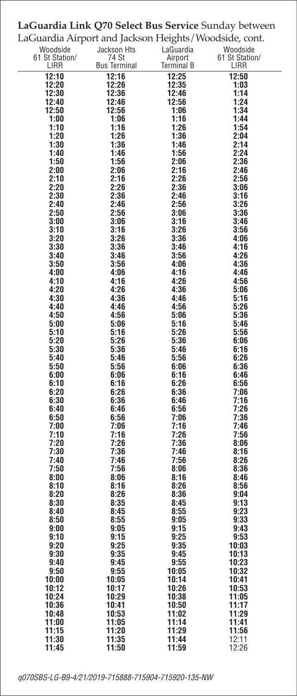## **LaGuardia Link Q70 Select Bus Service** Sunday between

| LaGuardia Airport and Jackson Heights/Woodside, cont. |                              |                              |                        |
|-------------------------------------------------------|------------------------------|------------------------------|------------------------|
| Woodside                                              | Jackson Hts                  | LaGuardia                    | Woodside               |
| 61 St Station/<br>LIRR                                | 74 St<br><b>Bus Terminal</b> | Airport<br><b>Terminal B</b> | 61 St Station/<br>LIRR |
| 12:10                                                 | 12:16                        | 12:25                        | 12:50                  |
| 12:20                                                 | 12:26                        | 12:35                        | 1:03                   |
| 12:30                                                 | 12:36                        | 12:46                        | 1:14                   |
| 12:40                                                 | 12:46                        | 12:56                        | 1:24                   |
| 12:50<br>1:00                                         | 12:56<br>1:06                | 1:06<br>1:16                 | 1:34<br>1:44           |
| 1:10                                                  | 1:16                         | 1:26                         | 1:54                   |
| 1:20                                                  | 1:26                         | 1:36                         | 2:04                   |
| 1:30                                                  | 1:36                         | 1:46                         | 2:14                   |
| 1:40<br>1:50                                          | 1:46<br>1:56                 | 1:56<br>2:06                 | 2:24<br>2:36           |
| 2:00                                                  | 2:06                         | 2:16                         | 2:46                   |
| 2:10                                                  | 2:16                         | 2:26                         | 2:56                   |
| 2:20                                                  | 2:26                         | 2:36                         | 3:06                   |
| 2:30<br>2:40                                          | 2:36<br>2:46                 | 2:46<br>2:56                 | 3:16<br>3:26           |
| 2:50                                                  | 2:56                         | 3:06                         | 3:36                   |
| 3:00                                                  | 3:06                         | 3:16                         | 3:46                   |
| 3:10                                                  | 3:16                         | 3:26                         | 3:56                   |
| 3:20<br>3:30                                          | 3:26<br>3:36                 | 3:36<br>3:46                 | 4:06<br>4:16           |
| 3:40                                                  | 3:46                         | 3:56                         | 4:26                   |
| 3:50                                                  | 3:56                         | 4:06                         | 4:36                   |
| 4:00                                                  | 4:06                         | 4:16                         | 4:46                   |
| 4:10<br>4:20                                          | 4:16<br>4:26                 | 4:26<br>4:36                 | 4:56<br>5:06           |
| 4:30                                                  | 4:36                         | 4:46                         | 5:16                   |
| 4:40                                                  | 4:46                         | 4:56                         | 5:26                   |
| 4:50                                                  | 4:56                         | 5:06                         | 5:36                   |
| 5:00<br>5:10                                          | 5:06<br>5:16                 | 5:16<br>5:26                 | 5:46<br>5:56           |
| 5:20                                                  | 5:26                         | 5:36                         | 6:06                   |
| 5:30                                                  | 5:36                         | 5:46                         | 6:16                   |
| 5:40                                                  | 5:46                         | 5:56                         | 6:26                   |
| 5:50<br>6:00                                          | 5:56<br>6:06                 | 6:06<br>6:16                 | 6:36<br>6:46           |
| 6:10                                                  | 6:16                         | 6:26                         | 6:56                   |
| 6:20                                                  | 6:26                         | 6:36                         | 7:06                   |
| 6:30                                                  | 6:36                         | 6:46                         | 7:16                   |
| 6:40<br>6:50                                          | 6:46<br>6:56                 | 6:56<br>7:06                 | 7:26<br>7:36           |
| 7:00                                                  | 7:06                         | 7:16                         | 7:46                   |
| 7:10                                                  | 7:16                         | 7:26                         | 7:56                   |
| 7:20<br>7:30                                          | 7:26<br>7:36                 | 7:36<br>7:46                 | 8:06<br>8:16           |
| 7:40                                                  | 7:46                         | 7:56                         | 8:26                   |
| 7:50                                                  | 7:56                         | 8:06                         | 8:36                   |
| 8:00                                                  | 8:06                         | 8:16                         | 8:46                   |
| 8:10<br>8:20                                          | 8:16<br>8:26                 | 8:26<br>8:36                 | 8:56<br>9:04           |
| 8:30                                                  | 8:35                         | 8:45                         | 9:13                   |
| 8:40                                                  | 8:45                         | 8:55                         | 9:23                   |
| 8:50                                                  | 8:55                         | 9:05                         | 9:33                   |
| 9:00<br>9:10                                          | 9:05<br>9:15                 | 9:15<br>9:25                 | 9:43<br>9:53           |
| 9:20                                                  | 9:25                         | 9:35                         | 10:03                  |
| 9:30                                                  | 9:35                         | 9:45                         | 10:13                  |
| 9:40<br>9:50                                          | 9:45<br>9:55                 | 9:55<br>10:05                | 10:23<br>10:32         |
| 10:00                                                 | 10:05                        | 10:14                        | 10:41                  |
| 10:12                                                 | 10:17                        | 10:26                        | 10:53                  |
| 10:24                                                 | 10:29                        | 10:38                        | 11:05                  |
| 10:36<br>10:48                                        | 10:41<br>10:53               | 10:50<br>11:02               | 11:17<br>11:29         |
| 11:00                                                 | 11:05                        | 11:14                        | 11:41                  |
| 11:15                                                 | 11:20                        | 11:29                        | 11:56                  |
| 11:30                                                 | 11:35                        | 11:44                        | 12:11                  |
| 11:45                                                 | 11:50                        | 11:59                        | 12:26                  |